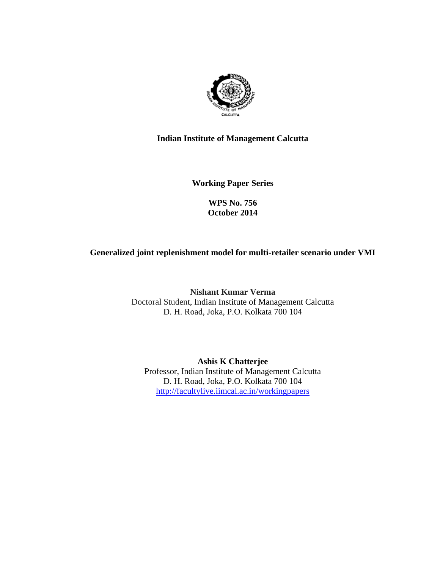

#### **Indian Institute of Management Calcutta**

**Working Paper Series** 

**WPS No. 756 October 2014**

#### **Generalized joint replenishment model for multi-retailer scenario under VMI**

**Nishant Kumar Verma**  Doctoral Student, Indian Institute of Management Calcutta D. H. Road, Joka, P.O. Kolkata 700 104

**Ashis K Chatterjee**  Professor, Indian Institute of Management Calcutta D. H. Road, Joka, P.O. Kolkata 700 104 http://facultylive.iimcal.ac.in/workingpapers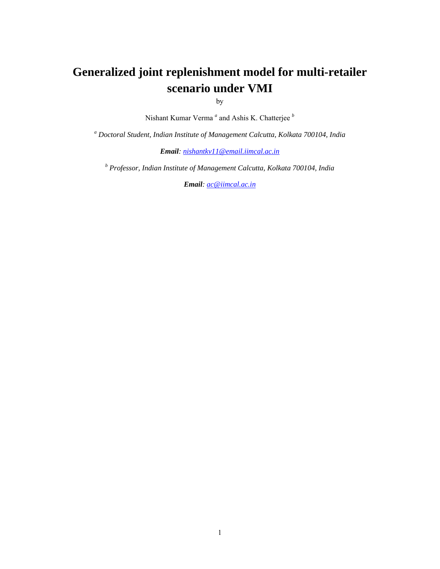# **Generalized joint replenishment model for multi-retailer scenario under VMI**

by

Nishant Kumar Verma<sup>*a*</sup> and Ashis K. Chatterjee *b* 

*a Doctoral Student, Indian Institute of Management Calcutta, Kolkata 700104, India* 

*Email: nishantkv11@email.iimcal.ac.in*

*<sup>b</sup> Professor, Indian Institute of Management Calcutta, Kolkata 700104, India*

*Email: ac@iimcal.ac.in*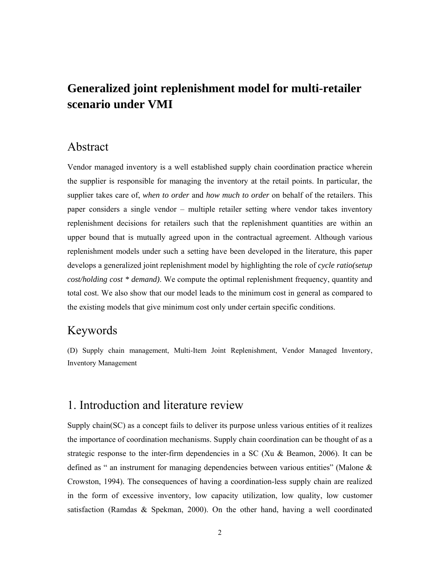# **Generalized joint replenishment model for multi-retailer scenario under VMI**

#### Abstract

Vendor managed inventory is a well established supply chain coordination practice wherein the supplier is responsible for managing the inventory at the retail points. In particular, the supplier takes care of, *when to order* and *how much to order* on behalf of the retailers. This paper considers a single vendor – multiple retailer setting where vendor takes inventory replenishment decisions for retailers such that the replenishment quantities are within an upper bound that is mutually agreed upon in the contractual agreement. Although various replenishment models under such a setting have been developed in the literature, this paper develops a generalized joint replenishment model by highlighting the role of *cycle ratio(setup cost/holding cost \* demand)*. We compute the optimal replenishment frequency, quantity and total cost. We also show that our model leads to the minimum cost in general as compared to the existing models that give minimum cost only under certain specific conditions.

### Keywords

(D) Supply chain management, Multi-Item Joint Replenishment, Vendor Managed Inventory, Inventory Management

## 1. Introduction and literature review

Supply chain(SC) as a concept fails to deliver its purpose unless various entities of it realizes the importance of coordination mechanisms. Supply chain coordination can be thought of as a strategic response to the inter-firm dependencies in a SC (Xu & Beamon, 2006). It can be defined as " an instrument for managing dependencies between various entities" (Malone & Crowston, 1994). The consequences of having a coordination-less supply chain are realized in the form of excessive inventory, low capacity utilization, low quality, low customer satisfaction (Ramdas & Spekman, 2000). On the other hand, having a well coordinated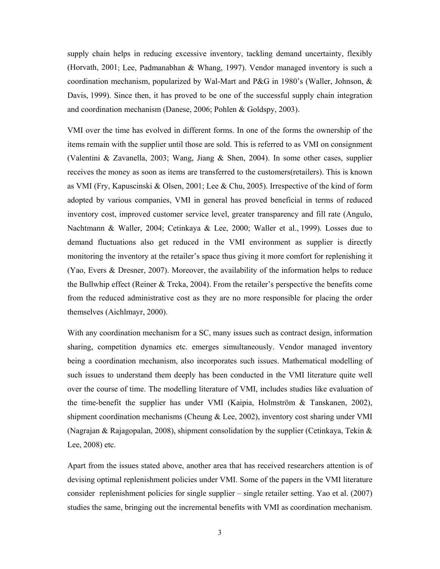supply chain helps in reducing excessive inventory, tackling demand uncertainty, flexibly (Horvath, 2001; Lee, Padmanabhan & Whang, 1997). Vendor managed inventory is such a coordination mechanism, popularized by Wal-Mart and P&G in 1980's (Waller, Johnson, & Davis, 1999). Since then, it has proved to be one of the successful supply chain integration and coordination mechanism (Danese, 2006; Pohlen & Goldspy, 2003).

VMI over the time has evolved in different forms. In one of the forms the ownership of the items remain with the supplier until those are sold. This is referred to as VMI on consignment (Valentini & Zavanella, 2003; Wang, Jiang & Shen, 2004). In some other cases, supplier receives the money as soon as items are transferred to the customers(retailers). This is known as VMI (Fry, Kapuscinski & Olsen, 2001; Lee & Chu, 2005). Irrespective of the kind of form adopted by various companies, VMI in general has proved beneficial in terms of reduced inventory cost, improved customer service level, greater transparency and fill rate (Angulo, Nachtmann & Waller, 2004; Cetinkaya & Lee, 2000; Waller et al., 1999). Losses due to demand fluctuations also get reduced in the VMI environment as supplier is directly monitoring the inventory at the retailer's space thus giving it more comfort for replenishing it (Yao, Evers & Dresner, 2007). Moreover, the availability of the information helps to reduce the Bullwhip effect (Reiner & Trcka, 2004). From the retailer's perspective the benefits come from the reduced administrative cost as they are no more responsible for placing the order themselves (Aichlmayr, 2000).

With any coordination mechanism for a SC, many issues such as contract design, information sharing, competition dynamics etc. emerges simultaneously. Vendor managed inventory being a coordination mechanism, also incorporates such issues. Mathematical modelling of such issues to understand them deeply has been conducted in the VMI literature quite well over the course of time. The modelling literature of VMI, includes studies like evaluation of the time-benefit the supplier has under VMI (Kaipia, Holmström & Tanskanen, 2002), shipment coordination mechanisms (Cheung & Lee, 2002), inventory cost sharing under VMI (Nagrajan & Rajagopalan, 2008), shipment consolidation by the supplier (Cetinkaya, Tekin & Lee, 2008) etc.

Apart from the issues stated above, another area that has received researchers attention is of devising optimal replenishment policies under VMI. Some of the papers in the VMI literature consider replenishment policies for single supplier – single retailer setting. Yao et al. (2007) studies the same, bringing out the incremental benefits with VMI as coordination mechanism.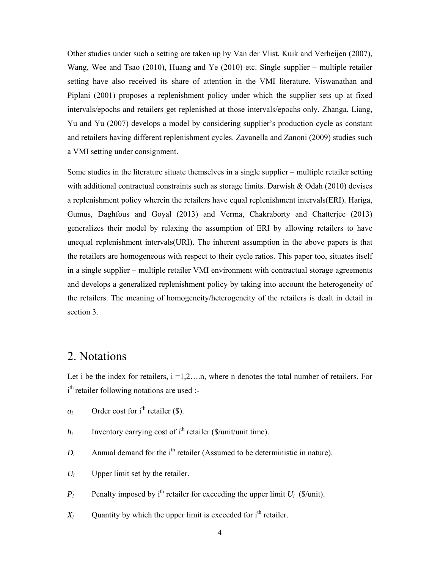Other studies under such a setting are taken up by Van der Vlist, Kuik and Verheijen (2007), Wang, Wee and Tsao (2010), Huang and Ye (2010) etc. Single supplier – multiple retailer setting have also received its share of attention in the VMI literature. Viswanathan and Piplani (2001) proposes a replenishment policy under which the supplier sets up at fixed intervals/epochs and retailers get replenished at those intervals/epochs only. Zhanga, Liang, Yu and Yu (2007) develops a model by considering supplier's production cycle as constant and retailers having different replenishment cycles. Zavanella and Zanoni (2009) studies such a VMI setting under consignment.

Some studies in the literature situate themselves in a single supplier – multiple retailer setting with additional contractual constraints such as storage limits. Darwish & Odah (2010) devises a replenishment policy wherein the retailers have equal replenishment intervals(ERI). Hariga, Gumus, Daghfous and Goyal (2013) and Verma, Chakraborty and Chatterjee (2013) generalizes their model by relaxing the assumption of ERI by allowing retailers to have unequal replenishment intervals(URI). The inherent assumption in the above papers is that the retailers are homogeneous with respect to their cycle ratios. This paper too, situates itself in a single supplier – multiple retailer VMI environment with contractual storage agreements and develops a generalized replenishment policy by taking into account the heterogeneity of the retailers. The meaning of homogeneity/heterogeneity of the retailers is dealt in detail in section 3.

### 2. Notations

Let i be the index for retailers,  $i = 1, 2, \ldots$ n, where n denotes the total number of retailers. For i<sup>th</sup> retailer following notations are used :-

- $a_i$  Order cost for i<sup>th</sup> retailer (\$).
- $h_i$  Inventory carrying cost of i<sup>th</sup> retailer (\$/unit/unit time).
- $D_i$  Annual demand for the i<sup>th</sup> retailer (Assumed to be deterministic in nature).
- $U_i$  Upper limit set by the retailer.
- *P<sub>i</sub>* Penalty imposed by i<sup>th</sup> retailer for exceeding the upper limit  $U_i$  (\$/unit).
- $X_i$  Quantity by which the upper limit is exceeded for  $i<sup>th</sup>$  retailer.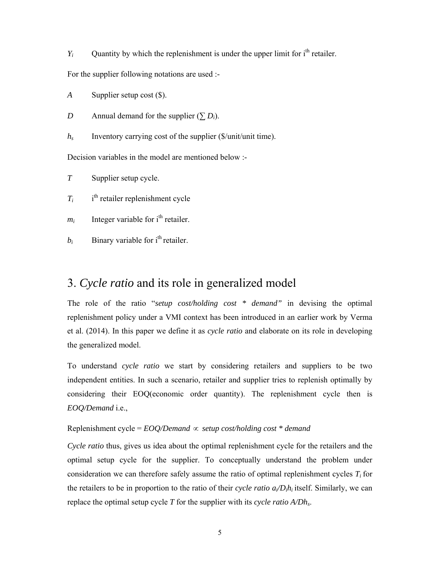*Y<sub>i</sub>* Quantity by which the replenishment is under the upper limit for  $i<sup>th</sup>$  retailer.

For the supplier following notations are used :-

*A* Supplier setup cost (\$).

*D* Annual demand for the supplier  $(\sum D_i)$ .

*hs* Inventory carrying cost of the supplier (\$/unit/unit time).

Decision variables in the model are mentioned below :-

*T* Supplier setup cycle.

 $T_i$ i<sup>th</sup> retailer replenishment cycle

- $m_i$  Integer variable for  $i<sup>th</sup>$  retailer.
- $b_i$  Binary variable for i<sup>th</sup> retailer.

#### 3. *Cycle ratio* and its role in generalized model

The role of the ratio "*setup cost/holding cost \* demand"* in devising the optimal replenishment policy under a VMI context has been introduced in an earlier work by Verma et al. (2014). In this paper we define it as *cycle ratio* and elaborate on its role in developing the generalized model.

To understand *cycle ratio* we start by considering retailers and suppliers to be two independent entities. In such a scenario, retailer and supplier tries to replenish optimally by considering their EOQ(economic order quantity). The replenishment cycle then is *EOQ/Demand* i.e.,

#### Replenishment cycle =  $EOO/Demand \propto setup cost/holding cost * demand$

*Cycle ratio* thus, gives us idea about the optimal replenishment cycle for the retailers and the optimal setup cycle for the supplier. To conceptually understand the problem under consideration we can therefore safely assume the ratio of optimal replenishment cycles  $T_i$  for the retailers to be in proportion to the ratio of their *cycle ratio ai/Dihi* itself. Similarly, we can replace the optimal setup cycle *T* for the supplier with its *cycle ratio A/Dhs*.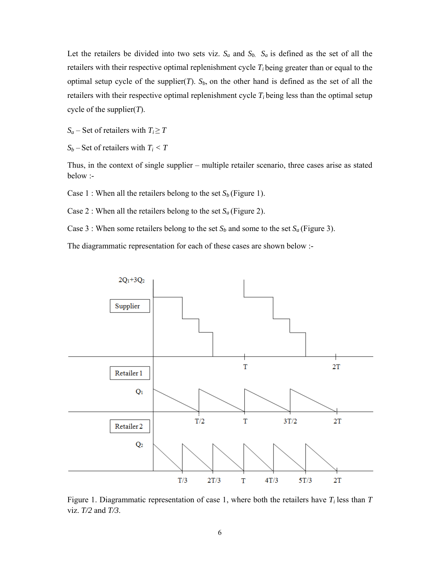Let the retailers be divided into two sets viz.  $S_a$  and  $S_b$ .  $S_a$  is defined as the set of all the retailers with their respective optimal replenishment cycle  $T_i$  being greater than or equal to the optimal setup cycle of the supplier(*T*).  $S_b$ , on the other hand is defined as the set of all the retailers with their respective optimal replenishment cycle  $T_i$  being less than the optimal setup cycle of the supplier(*T*).

*S<sub>a</sub>* – Set of retailers with  $T_i \geq T$ 

 $S_b$  – Set of retailers with  $T_i < T$ 

Thus, in the context of single supplier – multiple retailer scenario, three cases arise as stated below :-

Case 1 : When all the retailers belong to the set  $S_b$  (Figure 1).

Case 2 : When all the retailers belong to the set  $S_a$  (Figure 2).

Case 3 : When some retailers belong to the set  $S_b$  and some to the set  $S_a$  (Figure 3).

The diagrammatic representation for each of these cases are shown below :-



Figure 1. Diagrammatic representation of case 1, where both the retailers have  $T_i$  less than  $T$ viz. *T/2* and *T/3*.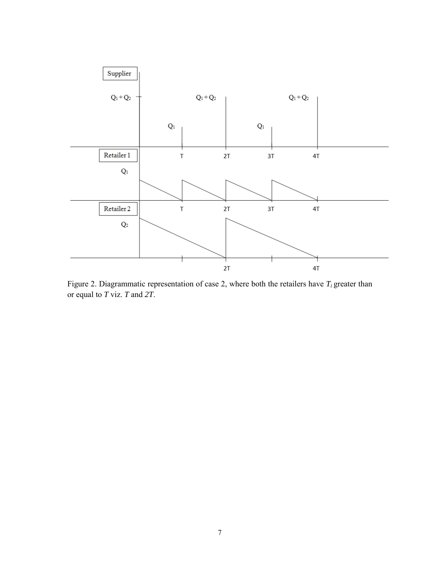

Figure 2. Diagrammatic representation of case 2, where both the retailers have  $T_i$  greater than or equal to *T* viz. *T* and *2T*.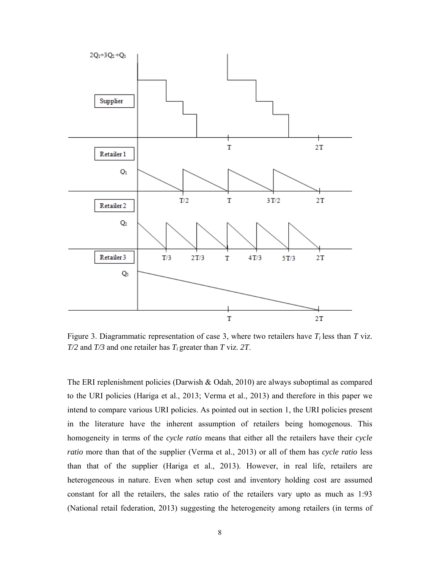

Figure 3. Diagrammatic representation of case 3, where two retailers have  $T_i$  less than  $T$  viz. *T/2* and *T/3* and one retailer has *Ti* greater than *T* viz. *2T*.

The ERI replenishment policies (Darwish & Odah, 2010) are always suboptimal as compared to the URI policies (Hariga et al., 2013; Verma et al., 2013) and therefore in this paper we intend to compare various URI policies. As pointed out in section 1, the URI policies present in the literature have the inherent assumption of retailers being homogenous. This homogeneity in terms of the *cycle ratio* means that either all the retailers have their *cycle ratio* more than that of the supplier (Verma et al., 2013) or all of them has *cycle ratio* less than that of the supplier (Hariga et al., 2013). However, in real life, retailers are heterogeneous in nature. Even when setup cost and inventory holding cost are assumed constant for all the retailers, the sales ratio of the retailers vary upto as much as 1:93 (National retail federation, 2013) suggesting the heterogeneity among retailers (in terms of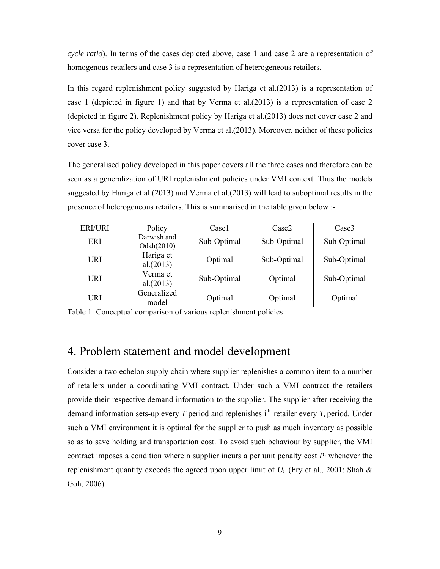*cycle ratio*). In terms of the cases depicted above, case 1 and case 2 are a representation of homogenous retailers and case 3 is a representation of heterogeneous retailers.

In this regard replenishment policy suggested by Hariga et al.(2013) is a representation of case 1 (depicted in figure 1) and that by Verma et al.(2013) is a representation of case 2 (depicted in figure 2). Replenishment policy by Hariga et al.(2013) does not cover case 2 and vice versa for the policy developed by Verma et al.(2013). Moreover, neither of these policies cover case 3.

The generalised policy developed in this paper covers all the three cases and therefore can be seen as a generalization of URI replenishment policies under VMI context. Thus the models suggested by Hariga et al.(2013) and Verma et al.(2013) will lead to suboptimal results in the presence of heterogeneous retailers. This is summarised in the table given below :-

| <b>ERI/URI</b> | Policy                    | Case1       | Case2       | Case3       |
|----------------|---------------------------|-------------|-------------|-------------|
| ERI            | Darwish and<br>Odah(2010) | Sub-Optimal | Sub-Optimal | Sub-Optimal |
| URI            | Hariga et<br>al.(2013)    | Optimal     | Sub-Optimal | Sub-Optimal |
| URI            | Verma et<br>al.(2013)     | Sub-Optimal | Optimal     | Sub-Optimal |
| URI            | Generalized<br>model      | Optimal     | Optimal     | Optimal     |

Table 1: Conceptual comparison of various replenishment policies

#### 4. Problem statement and model development

Consider a two echelon supply chain where supplier replenishes a common item to a number of retailers under a coordinating VMI contract. Under such a VMI contract the retailers provide their respective demand information to the supplier. The supplier after receiving the demand information sets-up every *T* period and replenishes i<sup>th</sup> retailer every  $T_i$  period. Under such a VMI environment it is optimal for the supplier to push as much inventory as possible so as to save holding and transportation cost. To avoid such behaviour by supplier, the VMI contract imposes a condition wherein supplier incurs a per unit penalty cost  $P_i$  whenever the replenishment quantity exceeds the agreed upon upper limit of  $U_i$  (Fry et al., 2001; Shah  $\&$ Goh, 2006).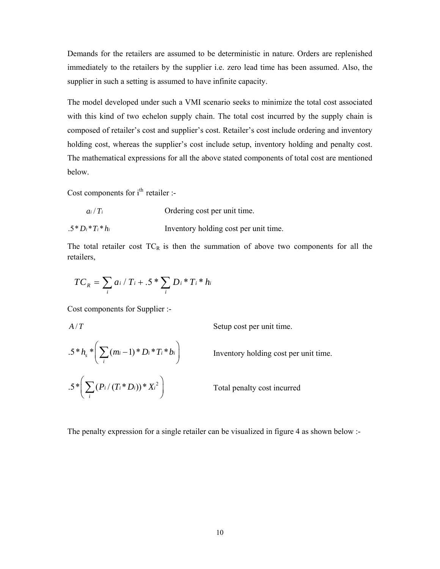Demands for the retailers are assumed to be deterministic in nature. Orders are replenished immediately to the retailers by the supplier i.e. zero lead time has been assumed. Also, the supplier in such a setting is assumed to have infinite capacity.

The model developed under such a VMI scenario seeks to minimize the total cost associated with this kind of two echelon supply chain. The total cost incurred by the supply chain is composed of retailer's cost and supplier's cost. Retailer's cost include ordering and inventory holding cost, whereas the supplier's cost include setup, inventory holding and penalty cost. The mathematical expressions for all the above stated components of total cost are mentioned below.

Cost components for  $i<sup>th</sup>$  retailer :-

| $a_i/T_i$ | Ordering cost per unit time. |
|-----------|------------------------------|
|-----------|------------------------------|

 $.5 * D_i * T_i * h_i$  Inventory holding cost per unit time.

The total retailer cost  $TC_R$  is then the summation of above two components for all the retailers,

$$
TC_R = \sum_i a_i / T_i + .5 * \sum_i D_i * T_i * h_i
$$

Cost components for Supplier :-

*A/T* Setup cost per unit time.  $1.5 * h<sub>s</sub> * |\sum (m_i-1) * D_i * T_i * b_i$  $h_s^* \left( \sum_i (m_i - 1)^* D_i^* T_i^* b_i \right)$  Inventory holding cost per unit time.  $2.5*$   $\sum (P_i/(T_i*D_i))*X_i^2$  $\left(\sum_i (P_i / (T_i * D_i)) * X_i^2\right)$  Total penalty cost incurred

The penalty expression for a single retailer can be visualized in figure 4 as shown below :-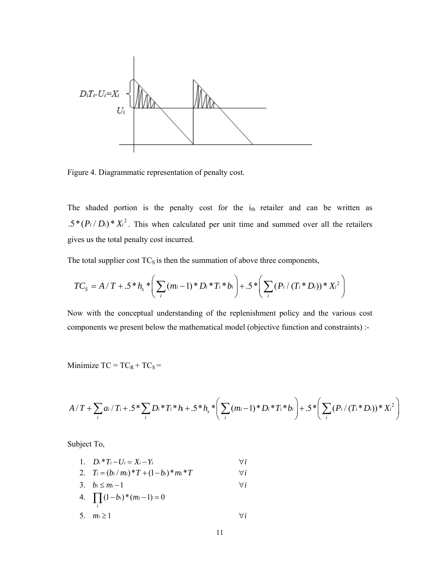

Figure 4. Diagrammatic representation of penalty cost.

The shaded portion is the penalty cost for the  $i_{th}$  retailer and can be written as  $2.5*(P_i/D_i)*X_i^2$ . This when calculated per unit time and summed over all the retailers gives us the total penalty cost incurred.

The total supplier cost  $TC_S$  is then the summation of above three components,

$$
TC_{S} = A/T + .5 * h_{S} * \left(\sum_{i} (m_{i}-1) * D_{i} * T_{i} * b_{i}\right) + .5 * \left(\sum_{i} (P_{i} / (T_{i} * D_{i})) * X_{i}^{2}\right)
$$

Now with the conceptual understanding of the replenishment policy and the various cost components we present below the mathematical model (objective function and constraints) :-

Minimize  $TC = TC_R + TC_S =$ 

$$
A/T + \sum_{i} a_i/T_i + .5 * \sum_{i} D_i * T_i * h_i + .5 * h_s * \left( \sum_{i} (m_i - 1) * D_i * T_i * b_i \right) + .5 * \left( \sum_{i} (P_i / (T_i * D_i)) * X_i^2 \right)
$$

Subject To,

1. 
$$
D_i * T_i - U_i = X_i - Y_i
$$
  $\forall i$   
\n2.  $T_i = (b_i / m_i) * T + (1 - b_i) * m_i * T$   $\forall i$   
\n3.  $b_i \le m_i - 1$   $\forall i$   
\n4.  $\prod_i (1 - b_i) * (m_i - 1) = 0$   $\forall i$   
\n5.  $m_i \ge 1$   $\forall i$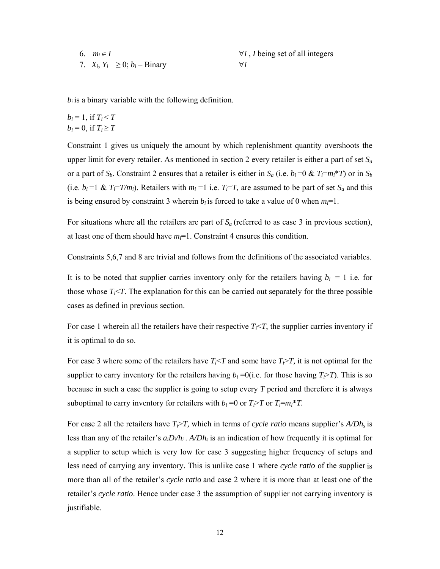| 6. $m_i \in I$                        | $\forall i$ , <i>I</i> being set of all integers |
|---------------------------------------|--------------------------------------------------|
| 7. $X_i, Y_i \geq 0$ ; $b_i$ – Binary | $\forall i$                                      |

*bi* is a binary variable with the following definition.

$$
b_i = 1, \text{ if } T_i < T
$$
\n
$$
b_i = 0, \text{ if } T_i \geq T
$$

Constraint 1 gives us uniquely the amount by which replenishment quantity overshoots the upper limit for every retailer. As mentioned in section 2 every retailer is either a part of set  $S_a$ or a part of  $S_b$ . Constraint 2 ensures that a retailer is either in  $S_a$  (i.e.  $b_i = 0 \& T_i = m_i * T$ ) or in  $S_b$ (i.e.  $b_i = 1 \& T_i = T/m_i$ ). Retailers with  $m_i = 1$  i.e.  $T_i = T$ , are assumed to be part of set  $S_a$  and this is being ensured by constraint 3 wherein  $b_i$  is forced to take a value of 0 when  $m_i=1$ .

For situations where all the retailers are part of  $S_a$  (referred to as case 3 in previous section), at least one of them should have  $m<sub>i</sub>=1$ . Constraint 4 ensures this condition.

Constraints 5,6,7 and 8 are trivial and follows from the definitions of the associated variables.

It is to be noted that supplier carries inventory only for the retailers having  $b_i = 1$  i.e. for those whose  $T_i \leq T$ . The explanation for this can be carried out separately for the three possible cases as defined in previous section.

For case 1 wherein all the retailers have their respective  $T_i < T$ , the supplier carries inventory if it is optimal to do so.

For case 3 where some of the retailers have  $T_i < T$  and some have  $T_i > T$ , it is not optimal for the supplier to carry inventory for the retailers having  $b_i = 0$  (i.e. for those having  $T_i > T$ ). This is so because in such a case the supplier is going to setup every *T* period and therefore it is always suboptimal to carry inventory for retailers with  $b_i = 0$  or  $T_i > T$  or  $T_i = m_i * T$ .

For case 2 all the retailers have  $T_i > T$ , which in terms of *cycle ratio* means supplier's  $A/Dh_s$  is less than any of the retailer's  $a_iD_i/h_i$ .  $A/Dh_s$  is an indication of how frequently it is optimal for a supplier to setup which is very low for case 3 suggesting higher frequency of setups and less need of carrying any inventory. This is unlike case 1 where *cycle ratio* of the supplier is more than all of the retailer's *cycle ratio* and case 2 where it is more than at least one of the retailer's *cycle ratio*. Hence under case 3 the assumption of supplier not carrying inventory is justifiable.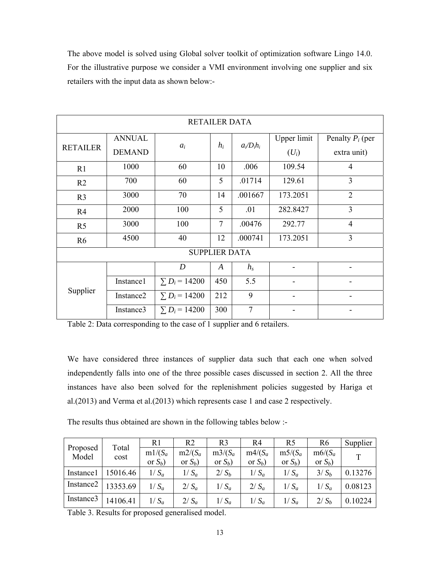The above model is solved using Global solver toolkit of optimization software Lingo 14.0. For the illustrative purpose we consider a VMI environment involving one supplier and six retailers with the input data as shown below:-

| <b>RETAILER DATA</b> |               |                      |                      |               |             |                          |  |  |  |
|----------------------|---------------|----------------------|----------------------|---------------|-------------|--------------------------|--|--|--|
|                      | <b>ANNUAL</b> |                      | $h_i$                |               | Upper limit | Penalty $P_i$ (per       |  |  |  |
| <b>RETAILER</b>      | <b>DEMAND</b> | $a_i$                |                      | $a_i/D_i h_i$ | $(U_i)$     | extra unit)              |  |  |  |
| R1                   | 1000          | 60                   | 10                   | .006          | 109.54      | $\overline{4}$           |  |  |  |
| R <sub>2</sub>       | 700           | 60                   | 5                    | .01714        | 129.61      | 3                        |  |  |  |
| R <sub>3</sub>       | 3000          | 70                   | 14                   | .001667       | 173.2051    | $\overline{2}$           |  |  |  |
| R <sub>4</sub>       | 2000          | 100                  | 5                    | .01           | 282.8427    | 3                        |  |  |  |
| R <sub>5</sub>       | 3000          | 100                  | $\overline{7}$       | .00476        | 292.77      | $\overline{4}$           |  |  |  |
| R <sub>6</sub>       | 4500          | 40                   | 12                   | .000741       | 173.2051    | 3                        |  |  |  |
|                      |               |                      | <b>SUPPLIER DATA</b> |               |             |                          |  |  |  |
|                      |               | $\boldsymbol{D}$     | $\boldsymbol{A}$     | $h_{s}$       |             | $\overline{\phantom{0}}$ |  |  |  |
| Supplier             | Instance1     | $\Sigma D_i = 14200$ | 450                  | 5.5           |             |                          |  |  |  |
|                      | Instance2     | $\Sigma D_i = 14200$ | 212                  | 9             |             |                          |  |  |  |
|                      | Instance3     | $\Sigma D_i = 14200$ | 300                  | 7             |             |                          |  |  |  |

Table 2: Data corresponding to the case of 1 supplier and 6 retailers.

We have considered three instances of supplier data such that each one when solved independently falls into one of the three possible cases discussed in section 2. All the three instances have also been solved for the replenishment policies suggested by Hariga et al.(2013) and Verma et al.(2013) which represents case 1 and case 2 respectively.

The results thus obtained are shown in the following tables below :-

|                       | Total    | R1         | R <sub>2</sub> | R3         | R4         | R5         | R6         | Supplier     |
|-----------------------|----------|------------|----------------|------------|------------|------------|------------|--------------|
| Proposed<br>Model     | cost     | $m1/(S_a)$ | $m2/(S_a)$     | $m3/(S_a)$ | $m4/(S_a)$ | $m5/(S_a)$ | $m6/(S_a)$ | $\mathbf{T}$ |
|                       |          | or $S_b$ ) | or $S_b$ )     | or $S_b$ ) | or $S_b$ ) | or $S_b$ ) | or $S_b$ ) |              |
| Instance1             | 15016.46 | $1/S_a$    | $1/S_a$        | $2/S_b$    | $1/S_a$    | $1/S_a$    | $3/S_b$    | 0.13276      |
| Instance <sub>2</sub> | 13353.69 | $1/S_a$    | $2/S_a$        | $1/S_a$    | $2/S_a$    | $1/S_a$    | $1/S_a$    | 0.08123      |
| Instance3             | 14106.41 | $1/S_a$    | $2/S_a$        | $1/S_a$    | $1/S_a$    | $1/S_a$    | $2/S_b$    | 0.10224      |

Table 3. Results for proposed generalised model.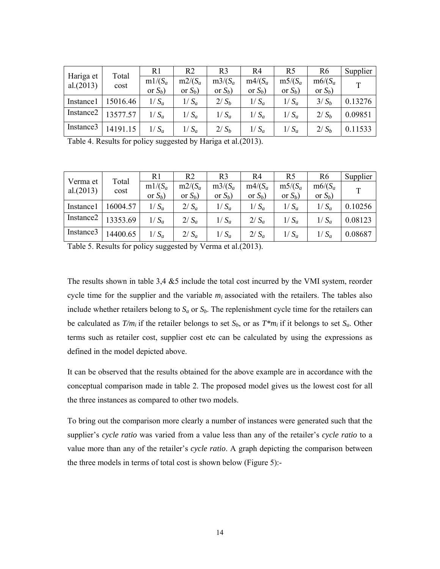| Hariga et | Total    | R1         | R <sub>2</sub> | R <sub>3</sub> | R4         | R <sub>5</sub> | R <sub>6</sub> | Supplier    |
|-----------|----------|------------|----------------|----------------|------------|----------------|----------------|-------------|
| al.(2013) | cost     | $m1/(S_a)$ | $m2/(S_a)$     | $m3/(S_a)$     | $m4/(S_a)$ | $m5/(S_a)$     | $m6/(S_a)$     | $\mathbf T$ |
|           |          | or $S_b$ ) | or $S_b$ )     | or $S_b$ )     | or $S_b$ ) | or $S_b$ )     | or $S_b$ )     |             |
| Instance1 | 15016.46 | $1/S_a$    | $1/S_a$        | $2/S_h$        | $1/S_a$    | $1/S_a$        | $3/S_h$        | 0.13276     |
| Instance2 | 13577.57 | $1/S_a$    | $1/S_a$        | $1/S_a$        | $1/S_a$    | $1/S_a$        | $2/S_h$        | 0.09851     |
| Instance3 | 14191.15 | $1/S_a$    | $1/S_a$        | $2/S_h$        | $1/S_a$    | $1/S_a$        | $2/S_h$        | 0.11533     |

Table 4. Results for policy suggested by Hariga et al.(2013).

| Verma et              | Total    | R1         | R2         | R3         | R4         | R <sub>5</sub> | R <sub>6</sub> | Supplier     |
|-----------------------|----------|------------|------------|------------|------------|----------------|----------------|--------------|
| al.(2013)             | cost     | $m1/(S_a)$ | $m2/(S_a)$ | $m3/(S_a)$ | $m4/(S_a)$ | $m5/(S_a)$     | $m6/(S_a)$     | $\mathbf{T}$ |
|                       |          | or $S_b$ ) | or $S_b$ ) | or $S_b$ ) | or $S_b$ ) | or $S_b$ )     | or $S_b$ )     |              |
| Instance1             | 16004.57 | $1/S_a$    | $2/S_a$    | $1/S_a$    | $1/S_a$    | $1/S_a$        | $1/S_a$        | 0.10256      |
| Instance <sub>2</sub> | 13353.69 | $1/S_a$    | $2/S_a$    | $1/S_a$    | $2/S_a$    | $1/S_a$        | $1/S_a$        | 0.08123      |
| Instance3             | 14400.65 | $1/S_a$    | $2/S_a$    | $1/S_a$    | $2/S_a$    | $1/S_a$        | $1/S_a$        | 0.08687      |

Table 5. Results for policy suggested by Verma et al.(2013).

The results shown in table 3,4 &5 include the total cost incurred by the VMI system, reorder cycle time for the supplier and the variable  $m_i$  associated with the retailers. The tables also include whether retailers belong to  $S_a$  or  $S_b$ . The replenishment cycle time for the retailers can be calculated as  $T/m_i$  if the retailer belongs to set  $S_b$ , or as  $T*m_i$  if it belongs to set  $S_a$ . Other terms such as retailer cost, supplier cost etc can be calculated by using the expressions as defined in the model depicted above.

It can be observed that the results obtained for the above example are in accordance with the conceptual comparison made in table 2. The proposed model gives us the lowest cost for all the three instances as compared to other two models.

To bring out the comparison more clearly a number of instances were generated such that the supplier's *cycle ratio* was varied from a value less than any of the retailer's *cycle ratio* to a value more than any of the retailer's *cycle ratio*. A graph depicting the comparison between the three models in terms of total cost is shown below (Figure 5):-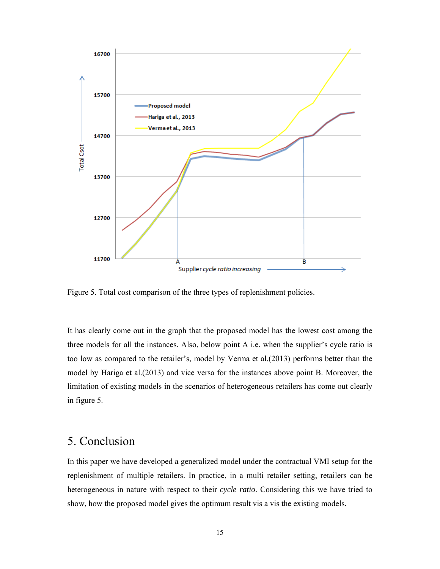

Figure 5. Total cost comparison of the three types of replenishment policies.

It has clearly come out in the graph that the proposed model has the lowest cost among the three models for all the instances. Also, below point A i.e. when the supplier's cycle ratio is too low as compared to the retailer's, model by Verma et al.(2013) performs better than the model by Hariga et al.(2013) and vice versa for the instances above point B. Moreover, the limitation of existing models in the scenarios of heterogeneous retailers has come out clearly in figure 5.

## 5. Conclusion

In this paper we have developed a generalized model under the contractual VMI setup for the replenishment of multiple retailers. In practice, in a multi retailer setting, retailers can be heterogeneous in nature with respect to their *cycle ratio*. Considering this we have tried to show, how the proposed model gives the optimum result vis a vis the existing models.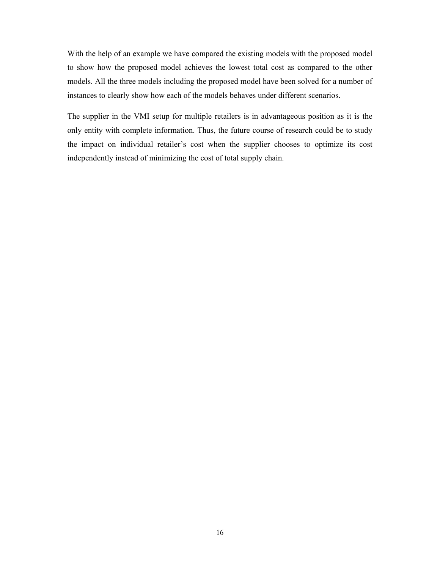With the help of an example we have compared the existing models with the proposed model to show how the proposed model achieves the lowest total cost as compared to the other models. All the three models including the proposed model have been solved for a number of instances to clearly show how each of the models behaves under different scenarios.

The supplier in the VMI setup for multiple retailers is in advantageous position as it is the only entity with complete information. Thus, the future course of research could be to study the impact on individual retailer's cost when the supplier chooses to optimize its cost independently instead of minimizing the cost of total supply chain.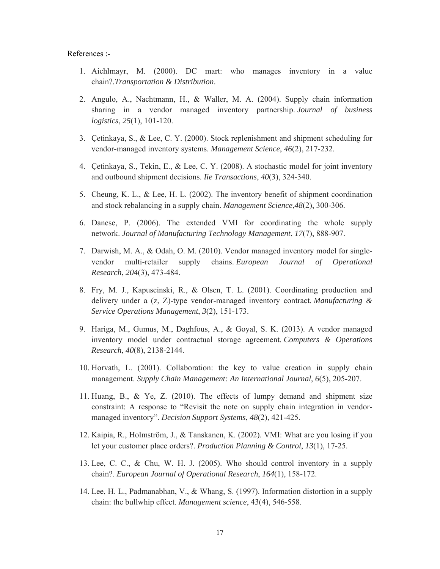References :-

- 1. Aichlmayr, M. (2000). DC mart: who manages inventory in a value chain?.*Transportation & Distribution*.
- 2. Angulo, A., Nachtmann, H., & Waller, M. A. (2004). Supply chain information sharing in a vendor managed inventory partnership. *Journal of business logistics*, *25*(1), 101-120.
- 3. Çetinkaya, S., & Lee, C. Y. (2000). Stock replenishment and shipment scheduling for vendor-managed inventory systems. *Management Science*, *46*(2), 217-232.
- 4. Çetinkaya, S., Tekin, E., & Lee, C. Y. (2008). A stochastic model for joint inventory and outbound shipment decisions. *Iie Transactions*, *40*(3), 324-340.
- 5. Cheung, K. L., & Lee, H. L. (2002). The inventory benefit of shipment coordination and stock rebalancing in a supply chain. *Management Science*,*48*(2), 300-306.
- 6. Danese, P. (2006). The extended VMI for coordinating the whole supply network. *Journal of Manufacturing Technology Management*, *17*(7), 888-907.
- 7. Darwish, M. A., & Odah, O. M. (2010). Vendor managed inventory model for singlevendor multi-retailer supply chains. *European Journal of Operational Research*, *204*(3), 473-484.
- 8. Fry, M. J., Kapuscinski, R., & Olsen, T. L. (2001). Coordinating production and delivery under a (z, Z)-type vendor-managed inventory contract. *Manufacturing & Service Operations Management*, *3*(2), 151-173.
- 9. Hariga, M., Gumus, M., Daghfous, A., & Goyal, S. K. (2013). A vendor managed inventory model under contractual storage agreement. *Computers & Operations Research*, *40*(8), 2138-2144.
- 10. Horvath, L. (2001). Collaboration: the key to value creation in supply chain management. *Supply Chain Management: An International Journal*, *6*(5), 205-207.
- 11. Huang, B., & Ye, Z. (2010). The effects of lumpy demand and shipment size constraint: A response to "Revisit the note on supply chain integration in vendormanaged inventory". *Decision Support Systems*, *48*(2), 421-425.
- 12. Kaipia, R., Holmström, J., & Tanskanen, K. (2002). VMI: What are you losing if you let your customer place orders?. *Production Planning & Control*, *13*(1), 17-25.
- 13. Lee, C. C., & Chu, W. H. J. (2005). Who should control inventory in a supply chain?. *European Journal of Operational Research*, *164*(1), 158-172.
- 14. Lee, H. L., Padmanabhan, V., & Whang, S. (1997). Information distortion in a supply chain: the bullwhip effect. *Management science*, 43(4), 546-558.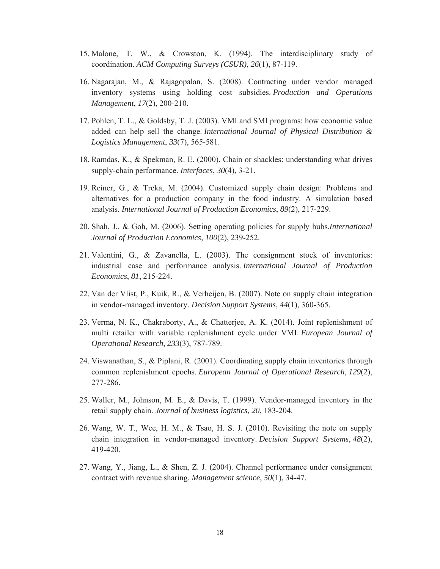- 15. Malone, T. W., & Crowston, K. (1994). The interdisciplinary study of coordination. *ACM Computing Surveys (CSUR)*, *26*(1), 87-119.
- 16. Nagarajan, M., & Rajagopalan, S. (2008). Contracting under vendor managed inventory systems using holding cost subsidies. *Production and Operations Management*, *17*(2), 200-210.
- 17. Pohlen, T. L., & Goldsby, T. J. (2003). VMI and SMI programs: how economic value added can help sell the change. *International Journal of Physical Distribution & Logistics Management*, *33*(7), 565-581.
- 18. Ramdas, K., & Spekman, R. E. (2000). Chain or shackles: understanding what drives supply-chain performance. *Interfaces*, *30*(4), 3-21.
- 19. Reiner, G., & Trcka, M. (2004). Customized supply chain design: Problems and alternatives for a production company in the food industry. A simulation based analysis. *International Journal of Production Economics*, *89*(2), 217-229.
- 20. Shah, J., & Goh, M. (2006). Setting operating policies for supply hubs.*International Journal of Production Economics*, *100*(2), 239-252.
- 21. Valentini, G., & Zavanella, L. (2003). The consignment stock of inventories: industrial case and performance analysis. *International Journal of Production Economics*, *81*, 215-224.
- 22. Van der Vlist, P., Kuik, R., & Verheijen, B. (2007). Note on supply chain integration in vendor-managed inventory. *Decision Support Systems*, *44*(1), 360-365.
- 23. Verma, N. K., Chakraborty, A., & Chatterjee, A. K. (2014). Joint replenishment of multi retailer with variable replenishment cycle under VMI. *European Journal of Operational Research*, *233*(3), 787-789.
- 24. Viswanathan, S., & Piplani, R. (2001). Coordinating supply chain inventories through common replenishment epochs. *European Journal of Operational Research*, *129*(2), 277-286.
- 25. Waller, M., Johnson, M. E., & Davis, T. (1999). Vendor-managed inventory in the retail supply chain. *Journal of business logistics*, *20*, 183-204.
- 26. Wang, W. T., Wee, H. M., & Tsao, H. S. J. (2010). Revisiting the note on supply chain integration in vendor-managed inventory. *Decision Support Systems*, *48*(2), 419-420.
- 27. Wang, Y., Jiang, L., & Shen, Z. J. (2004). Channel performance under consignment contract with revenue sharing. *Management science*, *50*(1), 34-47.